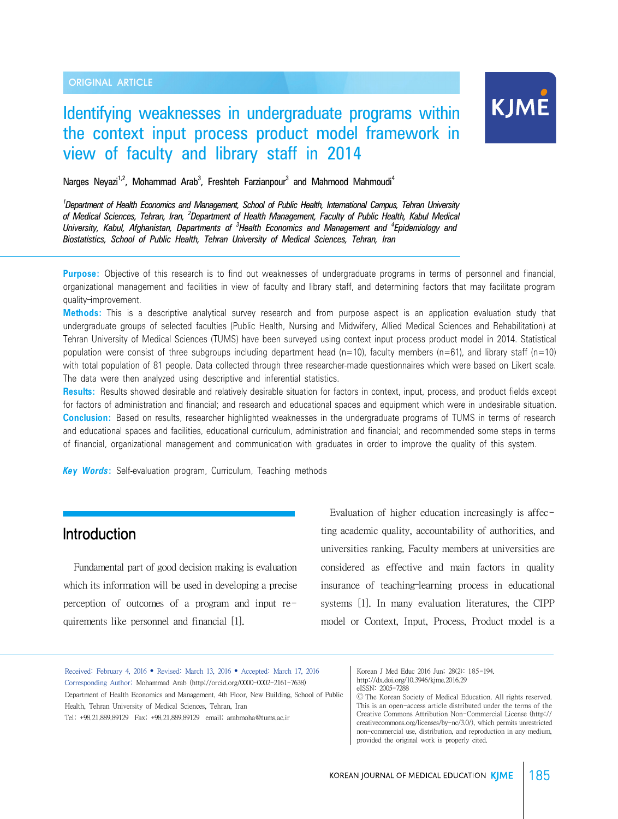ORIGINAL ARTICLE

# KJME

## Identifying weaknesses in undergraduate programs within the context input process product model framework in view of faculty and library staff in 2014

Narges Neyazi<sup>1,2</sup>, Mohammad Arab<sup>3</sup>, Freshteh Farzianpour<sup>3</sup> and Mahmood Mahmoudi<sup>4</sup>

*1 Department of Health Economics and Management, School of Public Health, International Campus, Tehran University* of Medical Sciences, Tehran, Iran, <sup>2</sup>Department of Health Management, Faculty of Public Health, Kabul Medical *University, Kabul, Afghanistan, Departments of <sup>3</sup> Health Economics and Management and <sup>4</sup> Epidemiology and Biostatistics, School of Public Health, Tehran University of Medical Sciences, Tehran, Iran*

**Purpose:** Objective of this research is to find out weaknesses of undergraduate programs in terms of personnel and financial, organizational management and facilities in view of faculty and library staff, and determining factors that may facilitate program quality–improvement.

**Methods:** This is a descriptive analytical survey research and from purpose aspect is an application evaluation study that undergraduate groups of selected faculties (Public Health, Nursing and Midwifery, Allied Medical Sciences and Rehabilitation) at Tehran University of Medical Sciences (TUMS) have been surveyed using context input process product model in 2014. Statistical population were consist of three subgroups including department head (n=10), faculty members (n=61), and library staff (n=10) with total population of 81 people. Data collected through three researcher-made questionnaires which were based on Likert scale. The data were then analyzed using descriptive and inferential statistics.

**Results:** Results showed desirable and relatively desirable situation for factors in context, input, process, and product fields except for factors of administration and financial; and research and educational spaces and equipment which were in undesirable situation. **Conclusion:** Based on results, researcher highlighted weaknesses in the undergraduate programs of TUMS in terms of research and educational spaces and facilities, educational curriculum, administration and financial; and recommended some steps in terms of financial, organizational management and communication with graduates in order to improve the quality of this system.

*Key Words***:** Self-evaluation program, Curriculum, Teaching methods

## Introduction

Fundamental part of good decision making is evaluation which its information will be used in developing a precise perception of outcomes of a program and input requirements like personnel and financial [1].

 Evaluation of higher education increasingly is affecting academic quality, accountability of authorities, and universities ranking. Faculty members at universities are considered as effective and main factors in quality insurance of teaching–learning process in educational systems [1]. In many evaluation literatures, the CIPP model or Context, Input, Process, Product model is a

Received: February 4, 2016 • Revised: March 13, 2016 • Accepted: March 17, 2016 Corresponding Author: Mohammad Arab (http://orcid.org/0000-0002-2161-7638) Department of Health Economics and Management, 4th Floor, New Building, School of Public Health, Tehran University of Medical Sciences, Tehran, Iran Tel: +98.21.889.89129 Fax: +98.21.889.89129 email: arabmoha@tums.ac.ir

Korean J Med Educ 2016 Jun; 28(2): 185-194. http://dx.doi.org/10.3946/kjme.2016.29 eISSN: 2005-7288

Ⓒ The Korean Society of Medical Education. All rights reserved. This is an open-access article distributed under the terms of the Creative Commons Attribution Non-Commercial License (http:// creativecommons.org/licenses/by-nc/3.0/), which permits unrestricted non-commercial use, distribution, and reproduction in any medium, provided the original work is properly cited.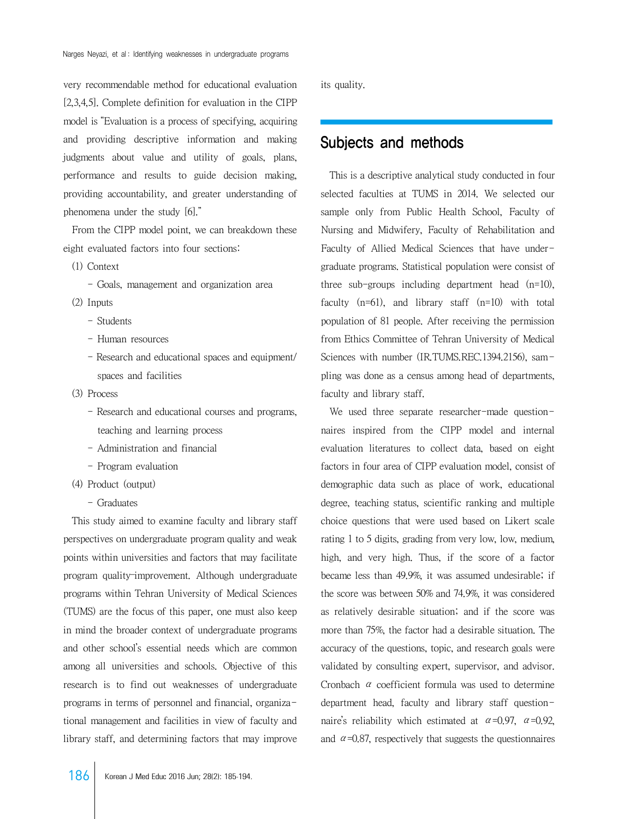very recommendable method for educational evaluation [2,3,4,5]. Complete definition for evaluation in the CIPP model is "Evaluation is a process of specifying, acquiring and providing descriptive information and making judgments about value and utility of goals, plans, performance and results to guide decision making, providing accountability, and greater understanding of phenomena under the study [6]."

 From the CIPP model point, we can breakdown these eight evaluated factors into four sections:

- (1) Context
	- Goals, management and organization area
- (2) Inputs
	- Students
	- Human resources
	- Research and educational spaces and equipment/ spaces and facilities
- (3) Process
	- Research and educational courses and programs, teaching and learning process
	- Administration and financial
	- Program evaluation
- (4) Product (output)
	- Graduates

 This study aimed to examine faculty and library staff perspectives on undergraduate program quality and weak points within universities and factors that may facilitate program quality–improvement. Although undergraduate programs within Tehran University of Medical Sciences (TUMS) are the focus of this paper, one must also keep in mind the broader context of undergraduate programs and other school's essential needs which are common among all universities and schools. Objective of this research is to find out weaknesses of undergraduate programs in terms of personnel and financial, organizational management and facilities in view of faculty and library staff, and determining factors that may improve its quality.

## Subjects and methods

 This is a descriptive analytical study conducted in four selected faculties at TUMS in 2014. We selected our sample only from Public Health School, Faculty of Nursing and Midwifery, Faculty of Rehabilitation and Faculty of Allied Medical Sciences that have undergraduate programs. Statistical population were consist of three sub-groups including department head (n=10), faculty (n=61), and library staff (n=10) with total population of 81 people. After receiving the permission from Ethics Committee of Tehran University of Medical Sciences with number (IR.TUMS.REC.1394.2156), sampling was done as a census among head of departments, faculty and library staff.

We used three separate researcher-made questionnaires inspired from the CIPP model and internal evaluation literatures to collect data, based on eight factors in four area of CIPP evaluation model, consist of demographic data such as place of work, educational degree, teaching status, scientific ranking and multiple choice questions that were used based on Likert scale rating 1 to 5 digits, grading from very low, low, medium, high, and very high. Thus, if the score of a factor became less than 49.9%, it was assumed undesirable; if the score was between 50% and 74.9%, it was considered as relatively desirable situation; and if the score was more than 75%, the factor had a desirable situation. The accuracy of the questions, topic, and research goals were validated by consulting expert, supervisor, and advisor. Cronbach  $\alpha$  coefficient formula was used to determine department head, faculty and library staff questionnaire's reliability which estimated at  $\alpha = 0.97$ ,  $\alpha = 0.92$ , and  $\alpha$ =0.87, respectively that suggests the questionnaires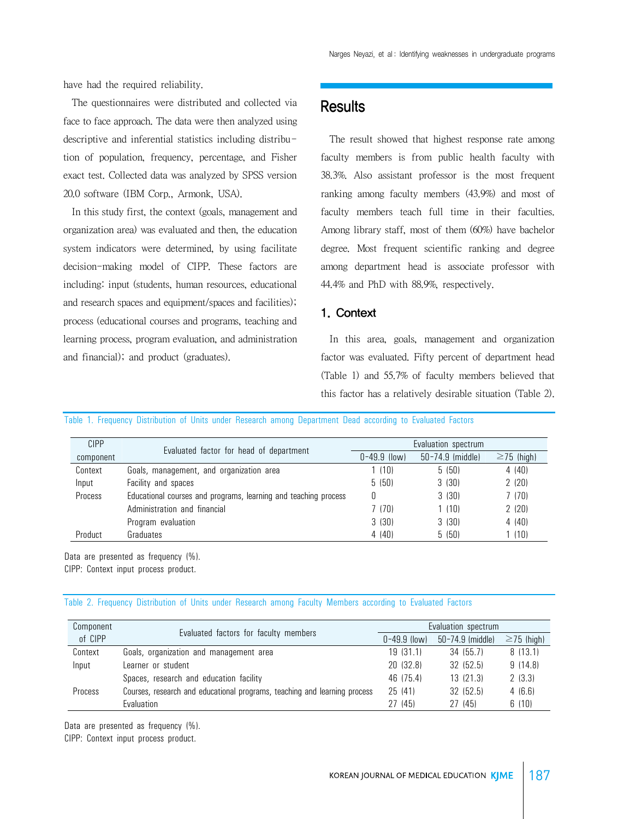have had the required reliability.

 The questionnaires were distributed and collected via face to face approach. The data were then analyzed using descriptive and inferential statistics including distribution of population, frequency, percentage, and Fisher exact test. Collected data was analyzed by SPSS version 20.0 software (IBM Corp., Armonk, USA).

 In this study first, the context (goals, management and organization area) was evaluated and then, the education system indicators were determined, by using facilitate decision-making model of CIPP. These factors are including: input (students, human resources, educational and research spaces and equipment/spaces and facilities); process (educational courses and programs, teaching and learning process, program evaluation, and administration and financial); and product (graduates).

### **Results**

 The result showed that highest response rate among faculty members is from public health faculty with 38.3%. Also assistant professor is the most frequent ranking among faculty members (43.9%) and most of faculty members teach full time in their faculties. Among library staff, most of them (60%) have bachelor degree. Most frequent scientific ranking and degree among department head is associate professor with 44.4% and PhD with 88.9%, respectively.

#### 1. Context

 In this area, goals, management and organization factor was evaluated. Fifty percent of department head (Table 1) and 55.7% of faculty members believed that this factor has a relatively desirable situation (Table 2).

|  |  |  |  | Table 1. Frequency Distribution of Units under Research among Department Dead according to Evaluated Factors |  |  |  |
|--|--|--|--|--------------------------------------------------------------------------------------------------------------|--|--|--|
|  |  |  |  |                                                                                                              |  |  |  |

| <b>CIPP</b> |                                                                 |                  | Evaluation spectrum |                  |
|-------------|-----------------------------------------------------------------|------------------|---------------------|------------------|
| component   | Evaluated factor for head of department                         | $0 - 49.9$ (low) | 50-74.9 (middle)    | $\geq$ 75 (high) |
| Context     | Goals, management, and organization area                        | (10)             | 5 (50)              | 4 (40)           |
| Input       | Facility and spaces                                             | 5(50)            | 3(30)               | 2(20)            |
| Process     | Educational courses and programs, learning and teaching process |                  | 3(30)               | 7(70)            |
|             | Administration and financial                                    | 7 (70)           | 1(10)               | 2(20)            |
|             | Program evaluation                                              | 3(30)            | 3(30)               | 4(40)            |
| Product     | Graduates                                                       | 4(40)            | 5(50)               | (10)             |

Data are presented as frequency (%). CIPP: Context input process product.

#### Table 2. Frequency Distribution of Units under Research among Faculty Members according to Evaluated Factors

| Component |                                                                           |                  | Evaluation spectrum |                  |
|-----------|---------------------------------------------------------------------------|------------------|---------------------|------------------|
| of CIPP   | Evaluated factors for faculty members                                     | $0 - 49.9$ (low) | 50-74.9 (middle)    | $\geq$ 75 (high) |
| Context   | Goals, organization and management area                                   | 19(31.1)         | 34 (55.7)           | 8(13.1)          |
| Input     | Learner or student                                                        | 20 (32.8)        | 32 (52.5)           | 9(14.8)          |
|           | Spaces, research and education facility                                   | 46 (75.4)        | 13(21.3)            | 2(3.3)           |
| Process   | Courses, research and educational programs, teaching and learning process | 25(41)           | 32 (52.5)           | 4(6.6)           |
|           | Evaluation                                                                | 27 (45)          | 27 (45)             | 6(10)            |

Data are presented as frequency (%).

CIPP: Context input process product.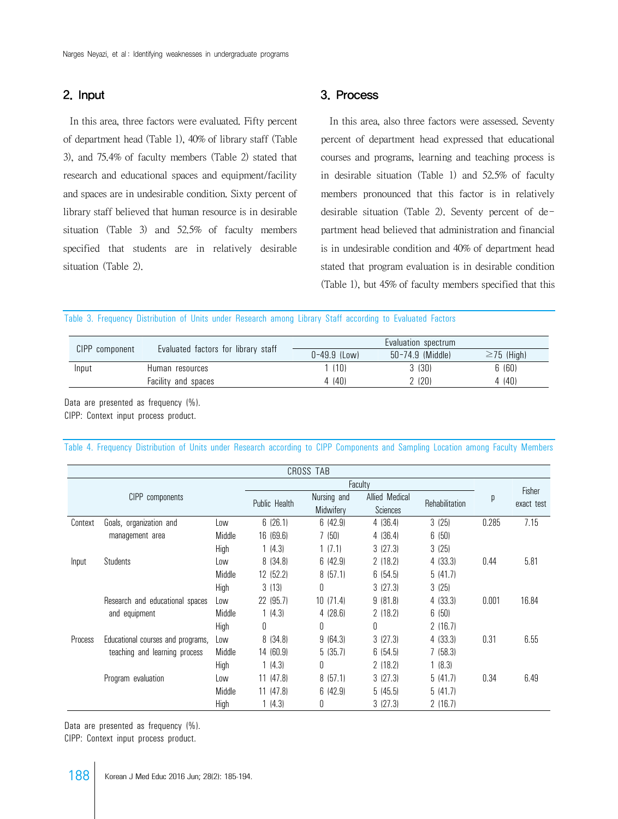#### 2. Input

 In this area, three factors were evaluated. Fifty percent of department head (Table 1), 40% of library staff (Table 3), and 75.4% of faculty members (Table 2) stated that research and educational spaces and equipment/facility and spaces are in undesirable condition. Sixty percent of library staff believed that human resource is in desirable situation (Table 3) and 52.5% of faculty members specified that students are in relatively desirable situation (Table 2).

#### 3. Process

 In this area, also three factors were assessed. Seventy percent of department head expressed that educational courses and programs, learning and teaching process is in desirable situation (Table 1) and 52.5% of faculty members pronounced that this factor is in relatively desirable situation (Table 2). Seventy percent of department head believed that administration and financial is in undesirable condition and 40% of department head stated that program evaluation is in desirable condition (Table 1), but 45% of faculty members specified that this

#### Table 3. Frequency Distribution of Units under Research among Library Staff according to Evaluated Factors

|                |                                     |                  | Evaluation spectrum |                  |
|----------------|-------------------------------------|------------------|---------------------|------------------|
| CIPP component | Evaluated factors for library staff | $0 - 49.9$ (Low) | 50-74.9 (Middle)    | $\geq$ 75 (High) |
| Input          | Human resources                     | 1(10)            | 3 (30)              | 6 (60)           |
|                | Facility and spaces                 | 4 (40)           | 2 (20)              | 4(40)            |

Data are presented as frequency (%). CIPP: Context input process product.

| Table 4. Frequency Distribution of Units under Research according to CIPP Components and Sampling Location among Faculty Members |  |  |  |  |  |  |  |  |  |  |  |  |  |
|----------------------------------------------------------------------------------------------------------------------------------|--|--|--|--|--|--|--|--|--|--|--|--|--|
|----------------------------------------------------------------------------------------------------------------------------------|--|--|--|--|--|--|--|--|--|--|--|--|--|

|         |                                   |        |               | CROSS TAB                |                            |                |       |                      |
|---------|-----------------------------------|--------|---------------|--------------------------|----------------------------|----------------|-------|----------------------|
|         |                                   |        |               |                          | Faculty                    |                |       |                      |
|         | CIPP components                   |        | Public Health | Nursing and<br>Midwifery | Allied Medical<br>Sciences | Rehabilitation | р     | Fisher<br>exact test |
| Context | Goals, organization and           | Low    | 6(26.1)       | 6(42.9)                  | 4(36.4)                    | 3(25)          | 0.285 | 7.15                 |
|         | management area                   | Middle | 16(69.6)      | 7(50)                    | 4(36.4)                    | 6(50)          |       |                      |
|         |                                   | High   | 1(4.3)        | 1(7.1)                   | 3(27.3)                    | 3(25)          |       |                      |
| Input   | <b>Students</b>                   | Low    | 8(34.8)       | 6(42.9)                  | 2(18.2)                    | 4(33.3)        | 0.44  | 5.81                 |
|         |                                   | Middle | 12 (52.2)     | 8(57.1)                  | 6(54.5)                    | 5(41.7)        |       |                      |
|         |                                   | High   | 3(13)         | 0                        | 3(27.3)                    | 3(25)          |       |                      |
|         | Research and educational spaces   | Low    | 22 (95.7)     | 10(71.4)                 | 9(81.8)                    | 4(33.3)        | 0.001 | 16.84                |
|         | and equipment                     | Middle | 1(4.3)        | 4(28.6)                  | 2(18.2)                    | 6(50)          |       |                      |
|         |                                   | High   | 0             | 0                        | 0                          | 2(16.7)        |       |                      |
| Process | Educational courses and programs, | Low    | 8 (34.8)      | 9(64.3)                  | 3(27.3)                    | 4 (33.3)       | 0.31  | 6.55                 |
|         | teaching and learning process     | Middle | 14 (60.9)     | 5(35.7)                  | 6(54.5)                    | 7(58.3)        |       |                      |
|         |                                   | High   | 1(4.3)        | U                        | 2(18.2)                    | 1(8.3)         |       |                      |
|         | Program evaluation                | Low    | 11(47.8)      | 8(57.1)                  | 3(27.3)                    | 5(41.7)        | 0.34  | 6.49                 |
|         |                                   | Middle | 11(47.8)      | 6(42.9)                  | 5(45.5)                    | 5(41.7)        |       |                      |
|         |                                   | High   | 1(4.3)        | 0                        | 3(27.3)                    | 2(16.7)        |       |                      |

Data are presented as frequency (%).

CIPP: Context input process product.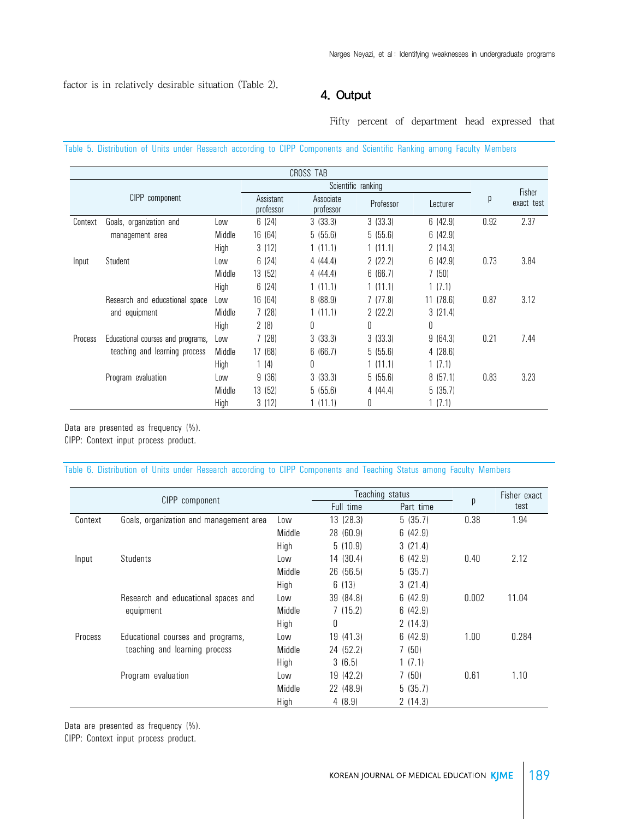factor is in relatively desirable situation (Table 2).

#### 4. Output

Fifty percent of department head expressed that

Table 5. Distribution of Units under Research according to CIPP Components and Scientific Ranking among Faculty Members

|         |                                   |        |                                                  | CROSS TAB |                    |          |      |            |
|---------|-----------------------------------|--------|--------------------------------------------------|-----------|--------------------|----------|------|------------|
|         |                                   |        |                                                  |           | Scientific ranking |          |      | Fisher     |
|         | <b>CIPP</b><br>component          |        | Associate<br>Assistant<br>professor<br>professor |           | Professor          | Lecturer |      | exact test |
| Context | Goals, organization and           | Low    | 6(24)                                            | 3(33.3)   | 3(33.3)            | 6(42.9)  | 0.92 | 2.37       |
|         | management area                   | Middle | 16 (64)                                          | 5(55.6)   | 5(55.6)            | 6(42.9)  |      |            |
|         |                                   | High   | 3(12)                                            | 1(11.1)   | 1(11.1)            | 2(14.3)  |      |            |
| Input   | Student                           | Low    | 6(24)                                            | 4(44.4)   | 2(22.2)            | 6(42.9)  | 0.73 | 3.84       |
|         |                                   | Middle | 13(52)                                           | 4(44.4)   | 6(66.7)            | 7(50)    |      |            |
|         |                                   | High   | 6(24)                                            | 1(11.1)   | 1(11.1)            | 1(7.1)   |      |            |
|         | Research and educational space    | Low    | 16 (64)                                          | 8(88.9)   | 7(77.8)            | 11(78.6) | 0.87 | 3.12       |
|         | and equipment                     | Middle | 7(28)                                            | 1(11.1)   | 2(22.2)            | 3(21.4)  |      |            |
|         |                                   | High   | 2(8)                                             | 0         | 0                  | 0        |      |            |
| Process | Educational courses and programs, | Low    | 7(28)                                            | 3(33.3)   | 3(33.3)            | 9(64.3)  | 0.21 | 7.44       |
|         | teaching and learning process     | Middle | 17 (68)                                          | 6(66.7)   | 5(55.6)            | 4(28.6)  |      |            |
|         |                                   | High   | 1(4)                                             | 0         | 1(11.1)            | 1(7.1)   |      |            |
|         | Program evaluation                | Low    | 9(36)                                            | 3(33.3)   | 5(55.6)            | 8(57.1)  | 0.83 | 3.23       |
|         |                                   | Middle | 13 (52)                                          | 5(55.6)   | 4(44.4)            | 5(35.7)  |      |            |
|         |                                   | High   | 3(12)                                            | 1 (11.1)  | 0                  | 1(7.1)   |      |            |

Data are presented as frequency (%). CIPP: Context input process product.

Table 6. Distribution of Units under Research according to CIPP Components and Teaching Status among Faculty Members

|         |                                         |        |           | Teaching status |       | Fisher exact |
|---------|-----------------------------------------|--------|-----------|-----------------|-------|--------------|
|         | CIPP component                          |        | Full time | Part time       | p     | test         |
| Context | Goals, organization and management area | Low    | 13 (28.3) | 5(35.7)         | 0.38  | 1.94         |
|         |                                         | Middle | 28 (60.9) | 6(42.9)         |       |              |
|         |                                         | High   | 5(10.9)   | 3(21.4)         |       |              |
| Input   | Students                                | Low    | 14 (30.4) | 6(42.9)         | 0.40  | 2.12         |
|         |                                         | Middle | 26 (56.5) | 5(35.7)         |       |              |
|         |                                         | High   | 6(13)     | 3(21.4)         |       |              |
|         | Research and educational spaces and     | Low    | 39 (84.8) | 6(42.9)         | 0.002 | 11.04        |
|         | equipment                               | Middle | 7(15.2)   | 6(42.9)         |       |              |
|         |                                         | High   | $\theta$  | 2(14.3)         |       |              |
| Process | Educational courses and programs,       | Low    | 19 (41.3) | 6(42.9)         | 1.00  | 0.284        |
|         | teaching and learning process           | Middle | 24 (52.2) | 7(50)           |       |              |
|         |                                         | High   | 3(6.5)    | 1(7.1)          |       |              |
|         | Program evaluation                      | Low    | 19 (42.2) | 7(50)           | 0.61  | 1.10         |
|         |                                         | Middle | 22 (48.9) | 5(35.7)         |       |              |
|         |                                         | High   | 4(8.9)    | 2(14.3)         |       |              |

Data are presented as frequency (%).

CIPP: Context input process product.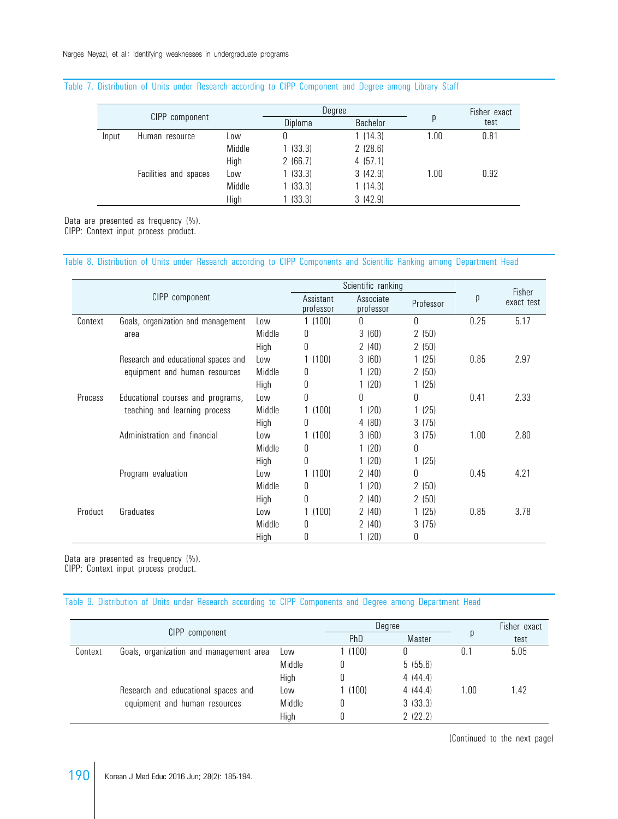#### Table 7. Distribution of Units under Research according to CIPP Component and Degree among Library Staff

|                |                       |        |         | Degree   |      | Fisher exact |  |
|----------------|-----------------------|--------|---------|----------|------|--------------|--|
| CIPP component |                       |        | Diploma | Bachelor | p    | test         |  |
| Input          | Human resource        | Low    | U       | 1(14.3)  | 1.00 | 0.81         |  |
|                |                       | Middle | 1(33.3) | 2(28.6)  |      |              |  |
|                |                       | High   | 2(66.7) | 4(57.1)  |      |              |  |
|                | Facilities and spaces | Low    | (33.3)  | 3(42.9)  | 1.00 | 0.92         |  |
|                |                       | Middle | (33.3)  | 1(14.3)  |      |              |  |
|                |                       | High   | (33.3)  | 3(42.9)  |      |              |  |

Data are presented as frequency (%).

CIPP: Context input process product.

#### Table 8. Distribution of Units under Research according to CIPP Components and Scientific Ranking among Department Head

|                |                                     |        |                        | Scientific ranking     |              |      | Fisher     |
|----------------|-------------------------------------|--------|------------------------|------------------------|--------------|------|------------|
|                | CIPP component                      |        | Assistant<br>professor | Associate<br>professor | Professor    | р    | exact test |
| Context        | Goals, organization and management  | Low    | 1(100)                 | $\theta$               | $\mathsf{U}$ | 0.25 | 5.17       |
|                | area                                | Middle | 0                      | 3(60)                  | 2(50)        |      |            |
|                |                                     | High   | 0                      | 2(40)                  | 2(50)        |      |            |
|                | Research and educational spaces and | Low    | 1(100)                 | 3(60)                  | 1(25)        | 0.85 | 2.97       |
|                | equipment and human resources       | Middle | 0                      | 1(20)                  | 2(50)        |      |            |
|                |                                     | High   | 0                      | 1 (20)                 | 1(25)        |      |            |
| <b>Process</b> | Educational courses and programs,   | Low    | 0                      | 0                      | 0            | 0.41 | 2.33       |
|                | teaching and learning process       | Middle | 1(100)                 | 1(20)                  | 1(25)        |      |            |
|                |                                     | High   | Ŋ                      | 4(80)                  | 3(75)        |      |            |
|                | Administration and financial        | Low    | 1(100)                 | 3(60)                  | 3(75)        | 1.00 | 2.80       |
|                |                                     | Middle | 0                      | 1(20)                  | 0            |      |            |
|                |                                     | High   |                        | 1(20)                  | 1(25)        |      |            |
|                | Program evaluation                  | Low    | 1(100)                 | 2(40)                  | 0            | 0.45 | 4.21       |
|                |                                     | Middle | 0                      | 1(20)                  | 2(50)        |      |            |
|                |                                     | High   | 0                      | 2(40)                  | 2(50)        |      |            |
| Product        | Graduates                           | Low    | 1(100)                 | 2(40)                  | 1(25)        | 0.85 | 3.78       |
|                |                                     | Middle | 0                      | 2(40)                  | 3(75)        |      |            |
|                |                                     | High   | 0                      | 1 (20)                 | 0            |      |            |

Data are presented as frequency (%).

CIPP: Context input process product.

#### Table 9. Distribution of Units under Research according to CIPP Components and Degree among Department Head

|         |                                         |        |        | Degree  |      | Fisher exact |
|---------|-----------------------------------------|--------|--------|---------|------|--------------|
|         | CIPP component                          | PhD    | Master |         | test |              |
| Context | Goals, organization and management area | Low    | 1(100) |         |      | 5.05         |
|         |                                         | Middle |        | 5(55.6) |      |              |
|         |                                         | High   |        | 4(44.4) |      |              |
|         | Research and educational spaces and     | Low    | (100)  | 4(44.4) | 1.00 | 1.42         |
|         | equipment and human resources           | Middle |        | 3(33.3) |      |              |
|         |                                         | High   |        | 2(22.2) |      |              |

(Continued to the next page)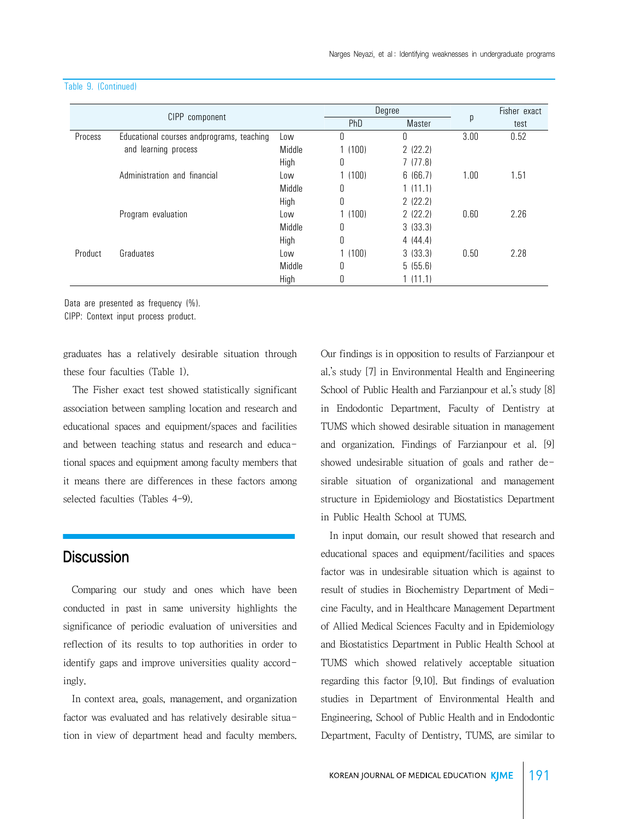|         |                                           |        |        | Degree  |      | Fisher exact |
|---------|-------------------------------------------|--------|--------|---------|------|--------------|
|         | CIPP component                            |        | PhD    | Master  | p    | test         |
| Process | Educational courses andprograms, teaching | Low    | 0      | 0       | 3.00 | 0.52         |
|         | and learning process                      | Middle | 1(100) | 2(22.2) |      |              |
|         |                                           | High   | 0      | 7(77.8) |      |              |
|         | Administration and financial              | Low    | 1(100) | 6(66.7) | 1.00 | 1.51         |
|         |                                           | Middle | 0      | 1(11.1) |      |              |
|         |                                           | High   | 0      | 2(22.2) |      |              |
|         | Program evaluation                        | Low    | 1(100) | 2(22.2) | 0.60 | 2.26         |
|         |                                           | Middle | 0      | 3(33.3) |      |              |
|         |                                           | High   | 0      | 4(44.4) |      |              |
| Product | Graduates                                 | Low    | 1(100) | 3(33.3) | 0.50 | 2.28         |
|         |                                           | Middle | 0      | 5(55.6) |      |              |
|         |                                           | High   | 0      | 1(11.1) |      |              |

#### Table 9. (Continued)

Data are presented as frequency (%).

CIPP: Context input process product.

graduates has a relatively desirable situation through these four faculties (Table 1).

 The Fisher exact test showed statistically significant association between sampling location and research and educational spaces and equipment/spaces and facilities and between teaching status and research and educational spaces and equipment among faculty members that it means there are differences in these factors among selected faculties (Tables 4-9).

## **Discussion**

 Comparing our study and ones which have been conducted in past in same university highlights the significance of periodic evaluation of universities and reflection of its results to top authorities in order to identify gaps and improve universities quality accordingly.

 In context area, goals, management, and organization factor was evaluated and has relatively desirable situation in view of department head and faculty members. Our findings is in opposition to results of Farzianpour et al.'s study [7] in Environmental Health and Engineering School of Public Health and Farzianpour et al.'s study [8] in Endodontic Department, Faculty of Dentistry at TUMS which showed desirable situation in management and organization. Findings of Farzianpour et al. [9] showed undesirable situation of goals and rather desirable situation of organizational and management structure in Epidemiology and Biostatistics Department in Public Health School at TUMS.

 In input domain, our result showed that research and educational spaces and equipment/facilities and spaces factor was in undesirable situation which is against to result of studies in Biochemistry Department of Medicine Faculty, and in Healthcare Management Department of Allied Medical Sciences Faculty and in Epidemiology and Biostatistics Department in Public Health School at TUMS which showed relatively acceptable situation regarding this factor [9,10]. But findings of evaluation studies in Department of Environmental Health and Engineering, School of Public Health and in Endodontic Department, Faculty of Dentistry, TUMS, are similar to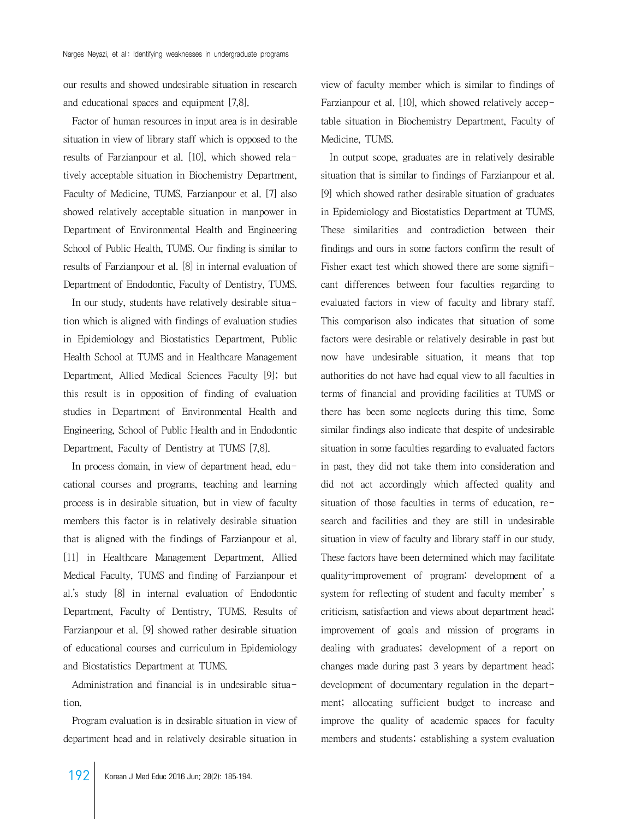our results and showed undesirable situation in research and educational spaces and equipment [7,8].

 Factor of human resources in input area is in desirable situation in view of library staff which is opposed to the results of Farzianpour et al. [10], which showed relatively acceptable situation in Biochemistry Department, Faculty of Medicine, TUMS. Farzianpour et al. [7] also showed relatively acceptable situation in manpower in Department of Environmental Health and Engineering School of Public Health, TUMS. Our finding is similar to results of Farzianpour et al. [8] in internal evaluation of Department of Endodontic, Faculty of Dentistry, TUMS.

 In our study, students have relatively desirable situation which is aligned with findings of evaluation studies in Epidemiology and Biostatistics Department, Public Health School at TUMS and in Healthcare Management Department, Allied Medical Sciences Faculty [9]; but this result is in opposition of finding of evaluation studies in Department of Environmental Health and Engineering, School of Public Health and in Endodontic Department, Faculty of Dentistry at TUMS [7,8].

 In process domain, in view of department head, educational courses and programs, teaching and learning process is in desirable situation, but in view of faculty members this factor is in relatively desirable situation that is aligned with the findings of Farzianpour et al. [11] in Healthcare Management Department, Allied Medical Faculty, TUMS and finding of Farzianpour et al.'s study [8] in internal evaluation of Endodontic Department, Faculty of Dentistry, TUMS. Results of Farzianpour et al. [9] showed rather desirable situation of educational courses and curriculum in Epidemiology and Biostatistics Department at TUMS.

 Administration and financial is in undesirable situation.

 Program evaluation is in desirable situation in view of department head and in relatively desirable situation in

view of faculty member which is similar to findings of Farzianpour et al. [10], which showed relatively acceptable situation in Biochemistry Department, Faculty of Medicine, TUMS.

 In output scope, graduates are in relatively desirable situation that is similar to findings of Farzianpour et al. [9] which showed rather desirable situation of graduates in Epidemiology and Biostatistics Department at TUMS. These similarities and contradiction between their findings and ours in some factors confirm the result of Fisher exact test which showed there are some significant differences between four faculties regarding to evaluated factors in view of faculty and library staff. This comparison also indicates that situation of some factors were desirable or relatively desirable in past but now have undesirable situation, it means that top authorities do not have had equal view to all faculties in terms of financial and providing facilities at TUMS or there has been some neglects during this time. Some similar findings also indicate that despite of undesirable situation in some faculties regarding to evaluated factors in past, they did not take them into consideration and did not act accordingly which affected quality and situation of those faculties in terms of education, research and facilities and they are still in undesirable situation in view of faculty and library staff in our study. These factors have been determined which may facilitate quality–improvement of program: development of a system for reflecting of student and faculty member's criticism, satisfaction and views about department head; improvement of goals and mission of programs in dealing with graduates; development of a report on changes made during past 3 years by department head; development of documentary regulation in the department; allocating sufficient budget to increase and improve the quality of academic spaces for faculty members and students; establishing a system evaluation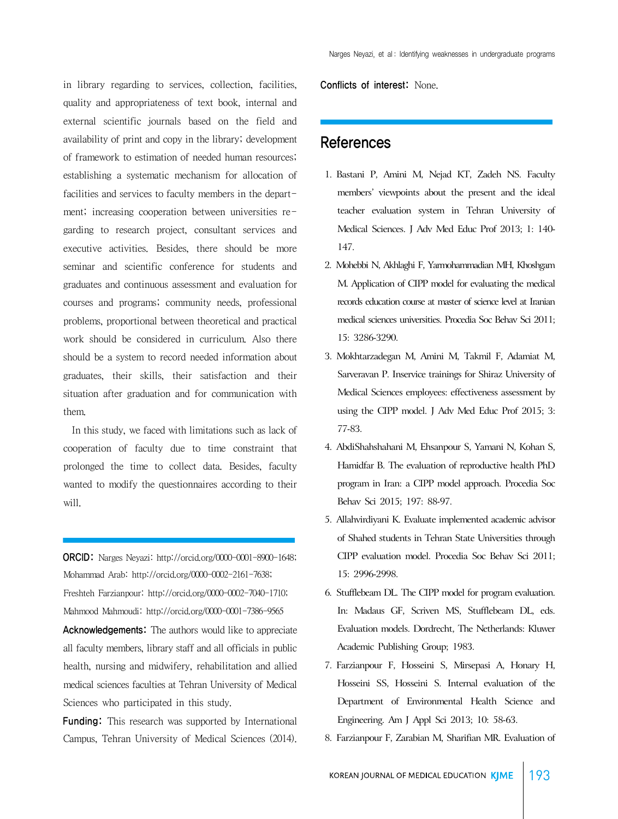in library regarding to services, collection, facilities, quality and appropriateness of text book, internal and external scientific journals based on the field and availability of print and copy in the library; development of framework to estimation of needed human resources; establishing a systematic mechanism for allocation of facilities and services to faculty members in the department; increasing cooperation between universities regarding to research project, consultant services and executive activities. Besides, there should be more seminar and scientific conference for students and graduates and continuous assessment and evaluation for courses and programs; community needs, professional problems, proportional between theoretical and practical work should be considered in curriculum. Also there should be a system to record needed information about graduates, their skills, their satisfaction and their situation after graduation and for communication with them.

 In this study, we faced with limitations such as lack of cooperation of faculty due to time constraint that prolonged the time to collect data. Besides, faculty wanted to modify the questionnaires according to their will.

ORCID: Narges Neyazi: http://orcid.org/0000-0001-8900-1648; Mohammad Arab: http://orcid.org/0000-0002-2161-7638; Freshteh Farzianpour: http://orcid.org/0000-0002-7040-1710; Mahmood Mahmoudi: http://orcid.org/0000-0001-7386-9565

Acknowledgements: The authors would like to appreciate all faculty members, library staff and all officials in public health, nursing and midwifery, rehabilitation and allied medical sciences faculties at Tehran University of Medical Sciences who participated in this study.

**Funding:** This research was supported by International Campus, Tehran University of Medical Sciences (2014). Conflicts of interest: None.

## **References**

- 1. Bastani P, Amini M, Nejad KT, Zadeh NS. Faculty members' viewpoints about the present and the ideal teacher evaluation system in Tehran University of Medical Sciences. J Adv Med Educ Prof 2013; 1: 140- 147.
- 2. Mohebbi N, Akhlaghi F, Yarmohammadian MH, Khoshgam M. Application of CIPP model for evaluating the medical records education course at master of science level at Iranian medical sciences universities. Procedia Soc Behav Sci 2011; 15: 3286-3290.
- 3. Mokhtarzadegan M, Amini M, Takmil F, Adamiat M, Sarveravan P. Inservice trainings for Shiraz University of Medical Sciences employees: effectiveness assessment by using the CIPP model. J Adv Med Educ Prof 2015; 3: 77-83.
- 4. AbdiShahshahani M, Ehsanpour S, Yamani N, Kohan S, Hamidfar B. The evaluation of reproductive health PhD program in Iran: a CIPP model approach. Procedia Soc Behav Sci 2015; 197: 88-97.
- 5. Allahvirdiyani K. Evaluate implemented academic advisor of Shahed students in Tehran State Universities through CIPP evaluation model. Procedia Soc Behav Sci 2011; 15: 2996-2998.
- 6. Stufflebeam DL. The CIPP model for program evaluation. In: Madaus GF, Scriven MS, Stufflebeam DL, eds. Evaluation models. Dordrecht, The Netherlands: Kluwer Academic Publishing Group; 1983.
- 7. Farzianpour F, Hosseini S, Mirsepasi A, Honary H, Hosseini SS, Hosseini S. Internal evaluation of the Department of Environmental Health Science and Engineering. Am J Appl Sci 2013; 10: 58-63.
- 8. Farzianpour F, Zarabian M, Sharifian MR. Evaluation of